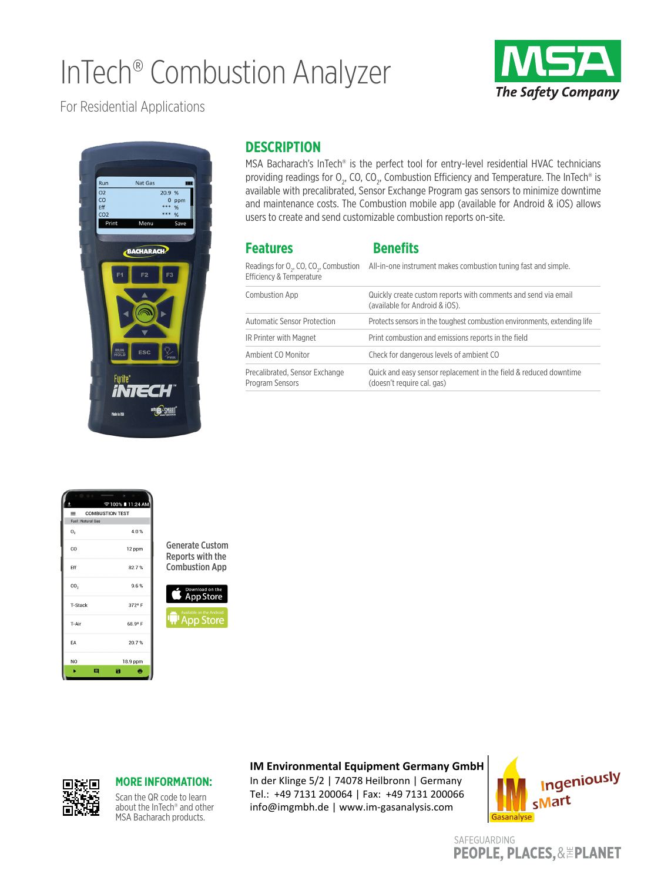# InTech® Combustion Analyzer



For Residential Applications



### **DESCRIPTION**

MSA Bacharach's InTech® is the perfect tool for entry-level residential HVAC technicians providing readings for  $\mathrm{O}_2$ , CO, CO<sub>2</sub>, Combustion Efficiency and Temperature. The InTech® is available with precalibrated, Sensor Exchange Program gas sensors to minimize downtime and maintenance costs. The Combustion mobile app (available for Android & iOS) allows users to create and send customizable combustion reports on-site.

| <b>Features</b>                                                                            | <b>Benefits</b>                                                                                  |
|--------------------------------------------------------------------------------------------|--------------------------------------------------------------------------------------------------|
| Readings for O <sub>2</sub> , CO, CO <sub>2</sub> , Combustion<br>Efficiency & Temperature | All-in-one instrument makes combustion tuning fast and simple.                                   |
| Combustion App                                                                             | Quickly create custom reports with comments and send via email<br>(available for Android & iOS). |
| <b>Automatic Sensor Protection</b>                                                         | Protects sensors in the toughest combustion environments, extending life                         |
| IR Printer with Magnet                                                                     | Print combustion and emissions reports in the field                                              |
| Ambient CO Monitor                                                                         | Check for dangerous levels of ambient CO                                                         |
| Precalibrated. Sensor Exchange<br>Program Sensors                                          | Quick and easy sensor replacement in the field & reduced downtime<br>(doesn't require cal. gas)  |



Generate Custom Reports with the Combustion App



# 回送回

#### **MORE INFORMATION:**

Scan the QR code to learn about the InTech® and other MSA Bacharach products.

### **IM Environmental Equipment Germany GmbH**

In der Klinge 5/2 | 74078 Heilbronn | Germany Tel.: +49 7131 200064 | Fax: +49 7131 200066 info@imgmbh.de | www.im-gasanalysis.com



SAFEGUARDING **PEOPLE, PLACES, & EPLANET**